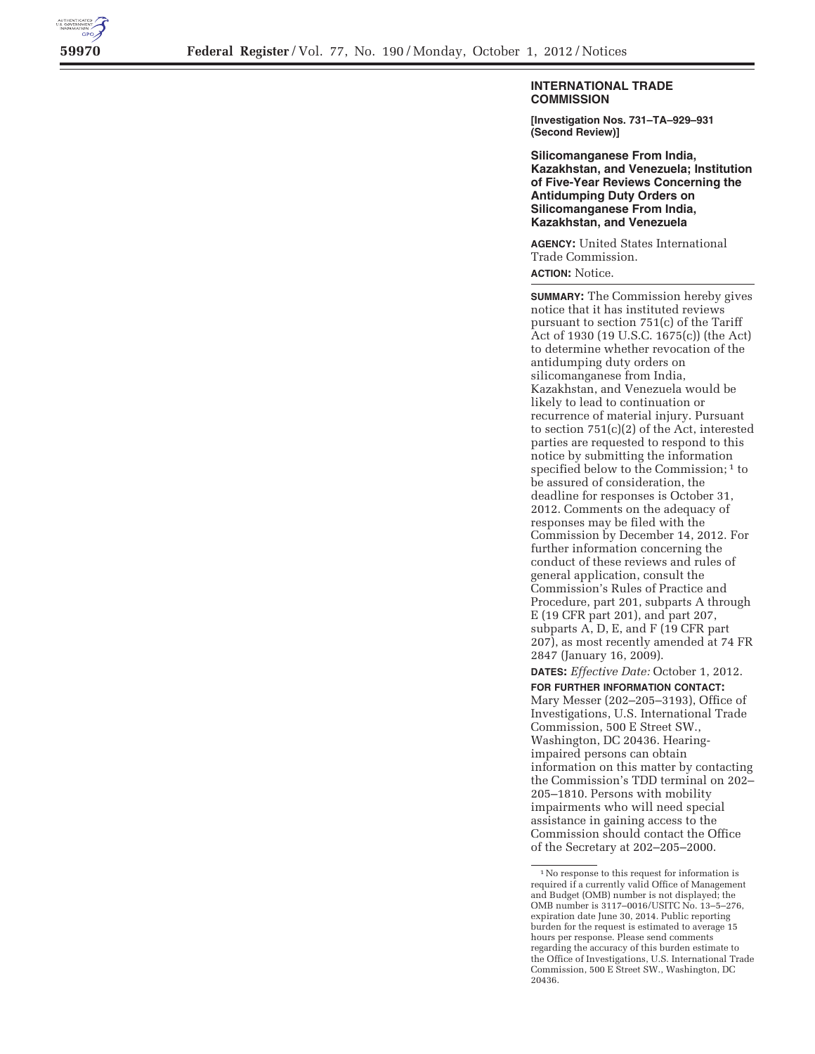

## **INTERNATIONAL TRADE COMMISSION**

**[Investigation Nos. 731–TA–929–931 (Second Review)]** 

**Silicomanganese From India, Kazakhstan, and Venezuela; Institution of Five-Year Reviews Concerning the Antidumping Duty Orders on Silicomanganese From India, Kazakhstan, and Venezuela** 

**AGENCY:** United States International Trade Commission.

**ACTION:** Notice.

**SUMMARY:** The Commission hereby gives notice that it has instituted reviews pursuant to section 751(c) of the Tariff Act of 1930 (19 U.S.C. 1675(c)) (the Act) to determine whether revocation of the antidumping duty orders on silicomanganese from India, Kazakhstan, and Venezuela would be likely to lead to continuation or recurrence of material injury. Pursuant to section 751(c)(2) of the Act, interested parties are requested to respond to this notice by submitting the information specified below to the Commission;<sup>1</sup> to be assured of consideration, the deadline for responses is October 31, 2012. Comments on the adequacy of responses may be filed with the Commission by December 14, 2012. For further information concerning the conduct of these reviews and rules of general application, consult the Commission's Rules of Practice and Procedure, part 201, subparts A through E (19 CFR part 201), and part 207, subparts A, D, E, and F (19 CFR part 207), as most recently amended at 74 FR 2847 (January 16, 2009).

**DATES:** *Effective Date:* October 1, 2012.

**FOR FURTHER INFORMATION CONTACT:**  Mary Messer (202–205–3193), Office of Investigations, U.S. International Trade Commission, 500 E Street SW., Washington, DC 20436. Hearingimpaired persons can obtain information on this matter by contacting the Commission's TDD terminal on 202– 205–1810. Persons with mobility impairments who will need special assistance in gaining access to the Commission should contact the Office of the Secretary at 202–205–2000.

<sup>1</sup>No response to this request for information is required if a currently valid Office of Management and Budget (OMB) number is not displayed; the OMB number is 3117–0016/USITC No. 13–5–276, expiration date June 30, 2014. Public reporting burden for the request is estimated to average 15 hours per response. Please send comments regarding the accuracy of this burden estimate to the Office of Investigations, U.S. International Trade Commission, 500 E Street SW., Washington, DC 20436.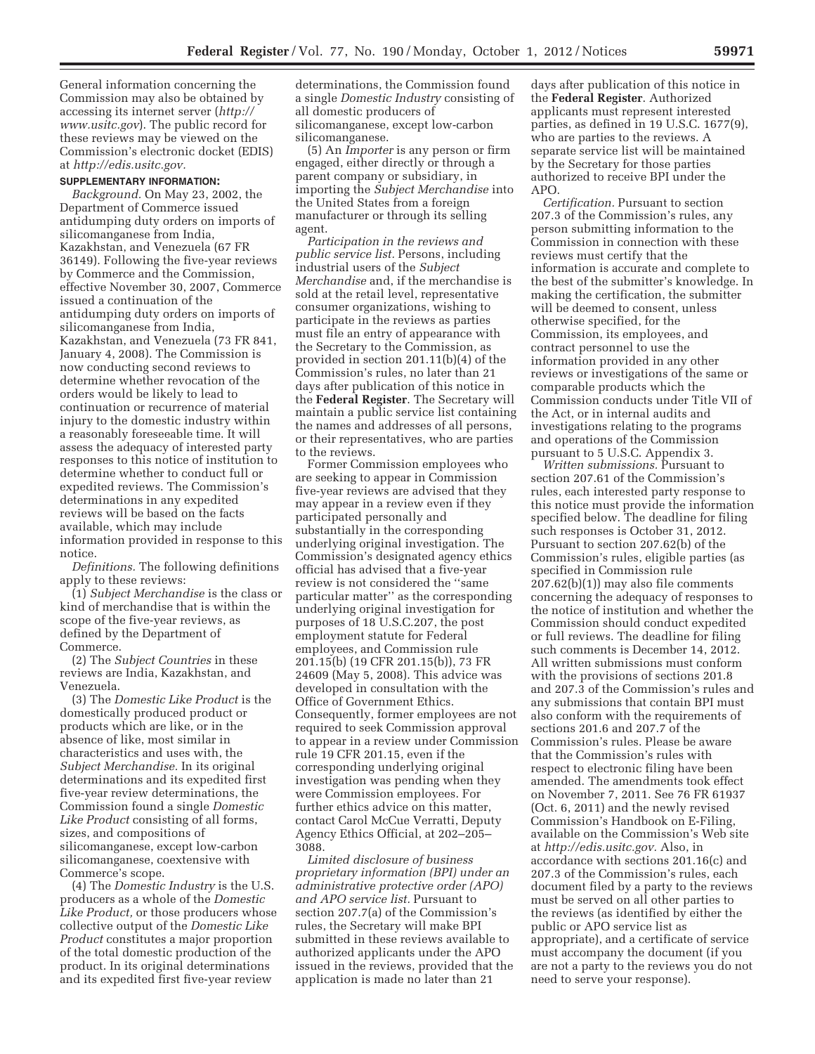General information concerning the Commission may also be obtained by accessing its internet server (*http:// www.usitc.gov*). The public record for these reviews may be viewed on the Commission's electronic docket (EDIS) at *http://edis.usitc.gov.* 

## **SUPPLEMENTARY INFORMATION:**

*Background.* On May 23, 2002, the Department of Commerce issued antidumping duty orders on imports of silicomanganese from India, Kazakhstan, and Venezuela (67 FR 36149). Following the five-year reviews by Commerce and the Commission, effective November 30, 2007, Commerce issued a continuation of the antidumping duty orders on imports of silicomanganese from India, Kazakhstan, and Venezuela (73 FR 841, January 4, 2008). The Commission is now conducting second reviews to determine whether revocation of the orders would be likely to lead to continuation or recurrence of material injury to the domestic industry within a reasonably foreseeable time. It will assess the adequacy of interested party responses to this notice of institution to determine whether to conduct full or expedited reviews. The Commission's determinations in any expedited reviews will be based on the facts available, which may include information provided in response to this notice.

*Definitions.* The following definitions apply to these reviews:

(1) *Subject Merchandise* is the class or kind of merchandise that is within the scope of the five-year reviews, as defined by the Department of Commerce.

(2) The *Subject Countries* in these reviews are India, Kazakhstan, and Venezuela.

(3) The *Domestic Like Product* is the domestically produced product or products which are like, or in the absence of like, most similar in characteristics and uses with, the *Subject Merchandise.* In its original determinations and its expedited first five-year review determinations, the Commission found a single *Domestic Like Product* consisting of all forms, sizes, and compositions of silicomanganese, except low-carbon silicomanganese, coextensive with Commerce's scope.

(4) The *Domestic Industry* is the U.S. producers as a whole of the *Domestic Like Product,* or those producers whose collective output of the *Domestic Like Product* constitutes a major proportion of the total domestic production of the product. In its original determinations and its expedited first five-year review

determinations, the Commission found a single *Domestic Industry* consisting of all domestic producers of silicomanganese, except low-carbon silicomanganese.

(5) An *Importer* is any person or firm engaged, either directly or through a parent company or subsidiary, in importing the *Subject Merchandise* into the United States from a foreign manufacturer or through its selling agent.

*Participation in the reviews and public service list.* Persons, including industrial users of the *Subject Merchandise* and, if the merchandise is sold at the retail level, representative consumer organizations, wishing to participate in the reviews as parties must file an entry of appearance with the Secretary to the Commission, as provided in section 201.11(b)(4) of the Commission's rules, no later than 21 days after publication of this notice in the **Federal Register**. The Secretary will maintain a public service list containing the names and addresses of all persons, or their representatives, who are parties to the reviews.

Former Commission employees who are seeking to appear in Commission five-year reviews are advised that they may appear in a review even if they participated personally and substantially in the corresponding underlying original investigation. The Commission's designated agency ethics official has advised that a five-year review is not considered the ''same particular matter'' as the corresponding underlying original investigation for purposes of 18 U.S.C.207, the post employment statute for Federal employees, and Commission rule 201.15(b) (19 CFR 201.15(b)), 73 FR 24609 (May 5, 2008). This advice was developed in consultation with the Office of Government Ethics. Consequently, former employees are not required to seek Commission approval to appear in a review under Commission rule 19 CFR 201.15, even if the corresponding underlying original investigation was pending when they were Commission employees. For further ethics advice on this matter, contact Carol McCue Verratti, Deputy Agency Ethics Official, at 202–205– 3088.

*Limited disclosure of business proprietary information (BPI) under an administrative protective order (APO) and APO service list.* Pursuant to section 207.7(a) of the Commission's rules, the Secretary will make BPI submitted in these reviews available to authorized applicants under the APO issued in the reviews, provided that the application is made no later than 21

days after publication of this notice in the **Federal Register**. Authorized applicants must represent interested parties, as defined in 19 U.S.C. 1677(9), who are parties to the reviews. A separate service list will be maintained by the Secretary for those parties authorized to receive BPI under the APO.

*Certification.* Pursuant to section 207.3 of the Commission's rules, any person submitting information to the Commission in connection with these reviews must certify that the information is accurate and complete to the best of the submitter's knowledge. In making the certification, the submitter will be deemed to consent, unless otherwise specified, for the Commission, its employees, and contract personnel to use the information provided in any other reviews or investigations of the same or comparable products which the Commission conducts under Title VII of the Act, or in internal audits and investigations relating to the programs and operations of the Commission pursuant to 5 U.S.C. Appendix 3.

*Written submissions.* Pursuant to section 207.61 of the Commission's rules, each interested party response to this notice must provide the information specified below. The deadline for filing such responses is October 31, 2012. Pursuant to section 207.62(b) of the Commission's rules, eligible parties (as specified in Commission rule 207.62(b)(1)) may also file comments concerning the adequacy of responses to the notice of institution and whether the Commission should conduct expedited or full reviews. The deadline for filing such comments is December 14, 2012. All written submissions must conform with the provisions of sections 201.8 and 207.3 of the Commission's rules and any submissions that contain BPI must also conform with the requirements of sections 201.6 and 207.7 of the Commission's rules. Please be aware that the Commission's rules with respect to electronic filing have been amended. The amendments took effect on November 7, 2011. See 76 FR 61937 (Oct. 6, 2011) and the newly revised Commission's Handbook on E-Filing, available on the Commission's Web site at *http://edis.usitc.gov.* Also, in accordance with sections 201.16(c) and 207.3 of the Commission's rules, each document filed by a party to the reviews must be served on all other parties to the reviews (as identified by either the public or APO service list as appropriate), and a certificate of service must accompany the document (if you are not a party to the reviews you do not need to serve your response).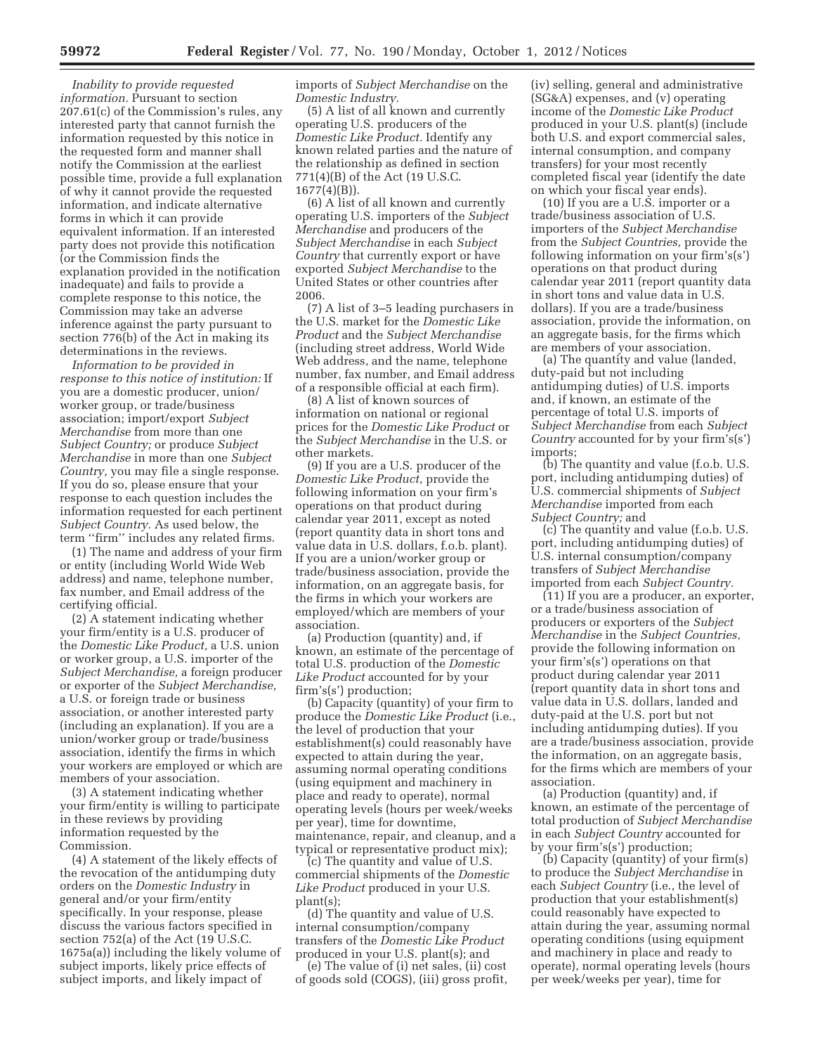*Inability to provide requested information.* Pursuant to section 207.61(c) of the Commission's rules, any interested party that cannot furnish the information requested by this notice in the requested form and manner shall notify the Commission at the earliest possible time, provide a full explanation of why it cannot provide the requested information, and indicate alternative forms in which it can provide equivalent information. If an interested party does not provide this notification (or the Commission finds the explanation provided in the notification inadequate) and fails to provide a complete response to this notice, the Commission may take an adverse inference against the party pursuant to section 776(b) of the Act in making its determinations in the reviews.

*Information to be provided in response to this notice of institution:* If you are a domestic producer, union/ worker group, or trade/business association; import/export *Subject Merchandise* from more than one *Subject Country;* or produce *Subject Merchandise* in more than one *Subject Country,* you may file a single response. If you do so, please ensure that your response to each question includes the information requested for each pertinent *Subject Country.* As used below, the term ''firm'' includes any related firms.

(1) The name and address of your firm or entity (including World Wide Web address) and name, telephone number, fax number, and Email address of the certifying official.

(2) A statement indicating whether your firm/entity is a U.S. producer of the *Domestic Like Product,* a U.S. union or worker group, a U.S. importer of the *Subject Merchandise,* a foreign producer or exporter of the *Subject Merchandise,*  a U.S. or foreign trade or business association, or another interested party (including an explanation). If you are a union/worker group or trade/business association, identify the firms in which your workers are employed or which are members of your association.

(3) A statement indicating whether your firm/entity is willing to participate in these reviews by providing information requested by the Commission.

(4) A statement of the likely effects of the revocation of the antidumping duty orders on the *Domestic Industry* in general and/or your firm/entity specifically. In your response, please discuss the various factors specified in section 752(a) of the Act (19 U.S.C. 1675a(a)) including the likely volume of subject imports, likely price effects of subject imports, and likely impact of

imports of *Subject Merchandise* on the *Domestic Industry.* 

(5) A list of all known and currently operating U.S. producers of the *Domestic Like Product.* Identify any known related parties and the nature of the relationship as defined in section 771(4)(B) of the Act (19 U.S.C.  $1677(4)(B)$ ).

(6) A list of all known and currently operating U.S. importers of the *Subject Merchandise* and producers of the *Subject Merchandise* in each *Subject Country* that currently export or have exported *Subject Merchandise* to the United States or other countries after 2006.

(7) A list of 3–5 leading purchasers in the U.S. market for the *Domestic Like Product* and the *Subject Merchandise*  (including street address, World Wide Web address, and the name, telephone number, fax number, and Email address of a responsible official at each firm).

(8) A list of known sources of information on national or regional prices for the *Domestic Like Product* or the *Subject Merchandise* in the U.S. or other markets.

(9) If you are a U.S. producer of the *Domestic Like Product,* provide the following information on your firm's operations on that product during calendar year 2011, except as noted (report quantity data in short tons and value data in U.S. dollars, f.o.b. plant). If you are a union/worker group or trade/business association, provide the information, on an aggregate basis, for the firms in which your workers are employed/which are members of your association.

(a) Production (quantity) and, if known, an estimate of the percentage of total U.S. production of the *Domestic Like Product* accounted for by your firm's(s') production;

(b) Capacity (quantity) of your firm to produce the *Domestic Like Product* (i.e., the level of production that your establishment(s) could reasonably have expected to attain during the year, assuming normal operating conditions (using equipment and machinery in place and ready to operate), normal operating levels (hours per week/weeks per year), time for downtime, maintenance, repair, and cleanup, and a typical or representative product mix);

(c) The quantity and value of U.S. commercial shipments of the *Domestic Like Product* produced in your U.S. plant(s);

(d) The quantity and value of U.S. internal consumption/company transfers of the *Domestic Like Product*  produced in your U.S. plant(s); and

(e) The value of (i) net sales, (ii) cost of goods sold (COGS), (iii) gross profit,

(iv) selling, general and administrative (SG&A) expenses, and (v) operating income of the *Domestic Like Product*  produced in your U.S. plant(s) (include both U.S. and export commercial sales, internal consumption, and company transfers) for your most recently completed fiscal year (identify the date on which your fiscal year ends).

(10) If you are a U.S. importer or a trade/business association of U.S. importers of the *Subject Merchandise*  from the *Subject Countries,* provide the following information on your firm's(s') operations on that product during calendar year 2011 (report quantity data in short tons and value data in U.S. dollars). If you are a trade/business association, provide the information, on an aggregate basis, for the firms which are members of your association.

(a) The quantity and value (landed, duty-paid but not including antidumping duties) of U.S. imports and, if known, an estimate of the percentage of total U.S. imports of *Subject Merchandise* from each *Subject Country* accounted for by your firm's(s') imports;

(b) The quantity and value (f.o.b. U.S. port, including antidumping duties) of U.S. commercial shipments of *Subject Merchandise* imported from each *Subject Country;* and

(c) The quantity and value (f.o.b. U.S. port, including antidumping duties) of U.S. internal consumption/company transfers of *Subject Merchandise*  imported from each *Subject Country.* 

(11) If you are a producer, an exporter, or a trade/business association of producers or exporters of the *Subject Merchandise* in the *Subject Countries,*  provide the following information on your firm's(s') operations on that product during calendar year 2011 (report quantity data in short tons and value data in U.S. dollars, landed and duty-paid at the U.S. port but not including antidumping duties). If you are a trade/business association, provide the information, on an aggregate basis, for the firms which are members of your association.

(a) Production (quantity) and, if known, an estimate of the percentage of total production of *Subject Merchandise*  in each *Subject Country* accounted for by your firm's(s') production;

(b) Capacity (quantity) of your firm(s) to produce the *Subject Merchandise* in each *Subject Country* (i.e., the level of production that your establishment(s) could reasonably have expected to attain during the year, assuming normal operating conditions (using equipment and machinery in place and ready to operate), normal operating levels (hours per week/weeks per year), time for